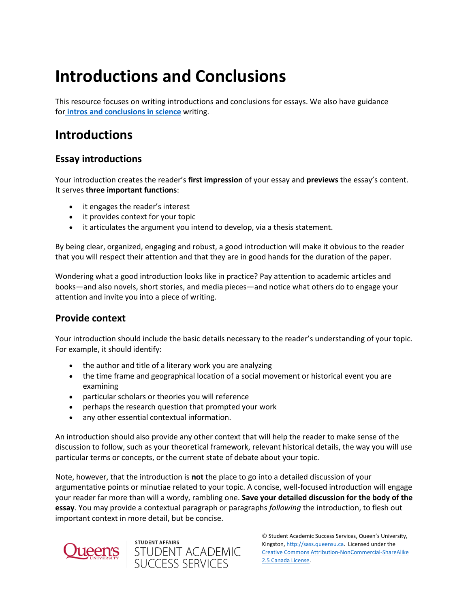# **Introductions and Conclusions**

This resource focuses on writing introductions and conclusions for essays. We also have guidance for **[intros and conclusions in science](https://sass.queensu.ca/wp-content/uploads/2019/04/Types-of-Science-Writing.pdf)** writing.

# **Introductions**

# **Essay introductions**

Your introduction creates the reader's **first impression** of your essay and **previews** the essay's content. It serves **three important functions**:

- it engages the reader's interest
- it provides context for your topic
- it articulates the argument you intend to develop, via a thesis statement.

By being clear, organized, engaging and robust, a good introduction will make it obvious to the reader that you will respect their attention and that they are in good hands for the duration of the paper.

Wondering what a good introduction looks like in practice? Pay attention to academic articles and books—and also novels, short stories, and media pieces—and notice what others do to engage your attention and invite you into a piece of writing.

#### **Provide context**

Your introduction should include the basic details necessary to the reader's understanding of your topic. For example, it should identify:

- the author and title of a literary work you are analyzing
- the time frame and geographical location of a social movement or historical event you are examining
- particular scholars or theories you will reference
- perhaps the research question that prompted your work

student affairs<br>STUDENT ACADEMIC<br>SUCCESS SERVICES

any other essential contextual information.

An introduction should also provide any other context that will help the reader to make sense of the discussion to follow, such as your theoretical framework, relevant historical details, the way you will use particular terms or concepts, or the current state of debate about your topic.

Note, however, that the introduction is **not** the place to go into a detailed discussion of your argumentative points or minutiae related to your topic. A concise, well-focused introduction will engage your reader far more than will a wordy, rambling one. **Save your detailed discussion for the body of the essay**. You may provide a contextual paragraph or paragraphs *following* the introduction, to flesh out important context in more detail, but be concise.

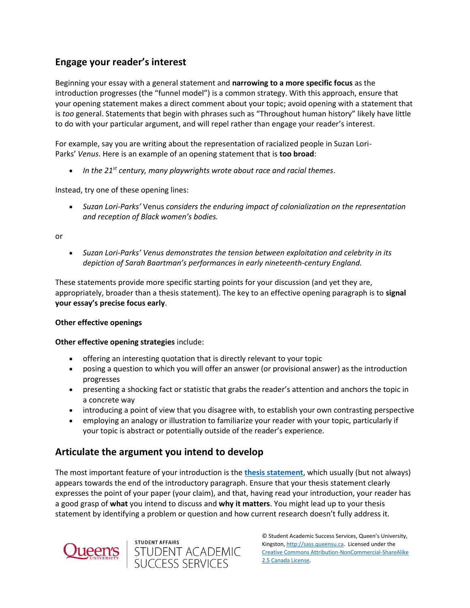# **Engage your reader's interest**

Beginning your essay with a general statement and **narrowing to a more specific focus** as the introduction progresses (the "funnel model") is a common strategy. With this approach, ensure that your opening statement makes a direct comment about your topic; avoid opening with a statement that is *too* general. Statements that begin with phrases such as "Throughout human history" likely have little to do with your particular argument, and will repel rather than engage your reader's interest.

For example, say you are writing about the representation of racialized people in Suzan Lori-Parks' *Venus*. Here is an example of an opening statement that is **too broad**:

• *In the 21st century, many playwrights wrote about race and racial themes*.

Instead, try one of these opening lines:

• *Suzan Lori-Parks'* Venus *considers the enduring impact of colonialization on the representation and reception of Black women's bodies.*

or

• *Suzan Lori-Parks' Venus demonstrates the tension between exploitation and celebrity in its depiction of Sarah Baartman's performances in early nineteenth-century England.*

These statements provide more specific starting points for your discussion (and yet they are, appropriately, broader than a thesis statement). The key to an effective opening paragraph is to **signal your essay's precise focus early**.

#### **Other effective openings**

**Other effective opening strategies** include:

- offering an interesting quotation that is directly relevant to your topic
- posing a question to which you will offer an answer (or provisional answer) as the introduction progresses
- presenting a shocking fact or statistic that grabs the reader's attention and anchors the topic in a concrete way
- introducing a point of view that you disagree with, to establish your own contrasting perspective
- employing an analogy or illustration to familiarize your reader with your topic, particularly if your topic is abstract or potentially outside of the reader's experience.

#### **Articulate the argument you intend to develop**

The most important feature of your introduction is the **[thesis statement](http://sass.queensu.ca/onlineresource/topics/developing-a-thesis-statement/)**, which usually (but not always) appears towards the end of the introductory paragraph. Ensure that your thesis statement clearly expresses the point of your paper (your claim), and that, having read your introduction, your reader has a good grasp of **what** you intend to discuss and **why it matters**. You might lead up to your thesis statement by identifying a problem or question and how current research doesn't fully address it.



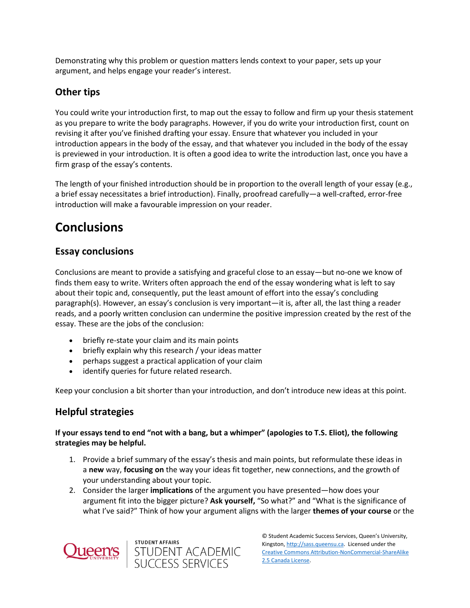Demonstrating why this problem or question matters lends context to your paper, sets up your argument, and helps engage your reader's interest.

# **Other tips**

You could write your introduction first, to map out the essay to follow and firm up your thesis statement as you prepare to write the body paragraphs. However, if you do write your introduction first, count on revising it after you've finished drafting your essay. Ensure that whatever you included in your introduction appears in the body of the essay, and that whatever you included in the body of the essay is previewed in your introduction. It is often a good idea to write the introduction last, once you have a firm grasp of the essay's contents.

The length of your finished introduction should be in proportion to the overall length of your essay (e.g., a brief essay necessitates a brief introduction). Finally, proofread carefully—a well-crafted, error-free introduction will make a favourable impression on your reader.

# **Conclusions**

## **Essay conclusions**

Conclusions are meant to provide a satisfying and graceful close to an essay—but no-one we know of finds them easy to write. Writers often approach the end of the essay wondering what is left to say about their topic and, consequently, put the least amount of effort into the essay's concluding paragraph(s). However, an essay's conclusion is very important—it is, after all, the last thing a reader reads, and a poorly written conclusion can undermine the positive impression created by the rest of the essay. These are the jobs of the conclusion:

- briefly re-state your claim and its main points
- briefly explain why this research / your ideas matter
- perhaps suggest a practical application of your claim
- identify queries for future related research.

Keep your conclusion a bit shorter than your introduction, and don't introduce new ideas at this point.

#### **Helpful strategies**

**If your essays tend to end "not with a bang, but a whimper" (apologies to T.S. Eliot), the following strategies may be helpful.**

- 1. Provide a brief summary of the essay's thesis and main points, but reformulate these ideas in a **new** way, **focusing on** the way your ideas fit together, new connections, and the growth of your understanding about your topic.
- 2. Consider the larger **implications** of the argument you have presented—how does your argument fit into the bigger picture? **Ask yourself,** "So what?" and "What is the significance of what I've said?" Think of how your argument aligns with the larger **themes of your course** or the



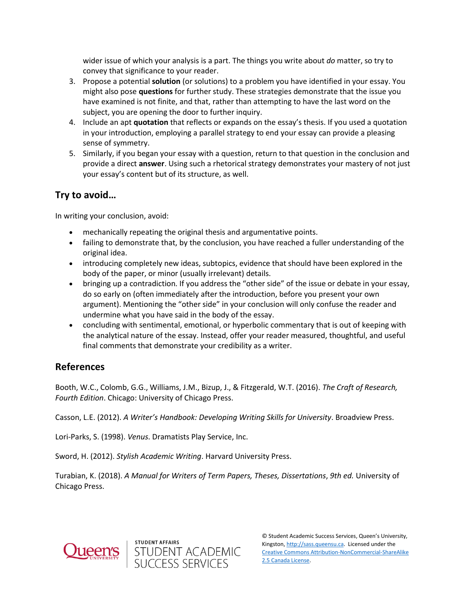wider issue of which your analysis is a part. The things you write about *do* matter, so try to convey that significance to your reader.

- 3. Propose a potential **solution** (or solutions) to a problem you have identified in your essay. You might also pose **questions** for further study. These strategies demonstrate that the issue you have examined is not finite, and that, rather than attempting to have the last word on the subject, you are opening the door to further inquiry.
- 4. Include an apt **quotation** that reflects or expands on the essay's thesis. If you used a quotation in your introduction, employing a parallel strategy to end your essay can provide a pleasing sense of symmetry.
- 5. Similarly, if you began your essay with a question, return to that question in the conclusion and provide a direct **answer**. Using such a rhetorical strategy demonstrates your mastery of not just your essay's content but of its structure, as well.

## **Try to avoid…**

In writing your conclusion, avoid:

- mechanically repeating the original thesis and argumentative points.
- failing to demonstrate that, by the conclusion, you have reached a fuller understanding of the original idea.
- introducing completely new ideas, subtopics, evidence that should have been explored in the body of the paper, or minor (usually irrelevant) details.
- bringing up a contradiction. If you address the "other side" of the issue or debate in your essay, do so early on (often immediately after the introduction, before you present your own argument). Mentioning the "other side" in your conclusion will only confuse the reader and undermine what you have said in the body of the essay.
- concluding with sentimental, emotional, or hyperbolic commentary that is out of keeping with the analytical nature of the essay. Instead, offer your reader measured, thoughtful, and useful final comments that demonstrate your credibility as a writer.

# **References**

Booth, W.C., Colomb, G.G., Williams, J.M., Bizup, J., & Fitzgerald, W.T. (2016). *The Craft of Research, Fourth Edition*. Chicago: University of Chicago Press.

Casson, L.E. (2012). *A Writer's Handbook: Developing Writing Skills for University*. Broadview Press.

Lori-Parks, S. (1998). *Venus*. Dramatists Play Service, Inc.

Sword, H. (2012). *Stylish Academic Writing*. Harvard University Press.

Turabian, K. (2018). *A Manual for Writers of Term Papers, Theses, Dissertations*, *9th ed.* University of Chicago Press.